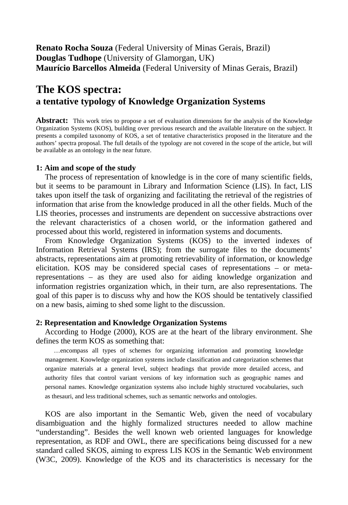**Renato Rocha Souza** (Federal University of Minas Gerais, Brazil) **Douglas Tudhope** (University of Glamorgan, UK) **Maurício Barcellos Almeida** (Federal University of Minas Gerais, Brazil)

# **The KOS spectra: a tentative typology of Knowledge Organization Systems**

**Abstract:** This work tries to propose a set of evaluation dimensions for the analysis of the Knowledge Organization Systems (KOS), building over previous research and the available literature on the subject. It presents a compiled taxonomy of KOS, a set of tentative characteristics proposed in the literature and the authors' spectra proposal. The full details of the typology are not covered in the scope of the article, but will be available as an ontology in the near future.

## **1: Aim and scope of the study**

The process of representation of knowledge is in the core of many scientific fields, but it seems to be paramount in Library and Information Science (LIS). In fact, LIS takes upon itself the task of organizing and facilitating the retrieval of the registries of information that arise from the knowledge produced in all the other fields. Much of the LIS theories, processes and instruments are dependent on successive abstractions over the relevant characteristics of a chosen world, or the information gathered and processed about this world, registered in information systems and documents.

From Knowledge Organization Systems (KOS) to the inverted indexes of Information Retrieval Systems (IRS); from the surrogate files to the documents' abstracts, representations aim at promoting retrievability of information, or knowledge elicitation. KOS may be considered special cases of representations – or metarepresentations – as they are used also for aiding knowledge organization and information registries organization which, in their turn, are also representations. The goal of this paper is to discuss why and how the KOS should be tentatively classified on a new basis, aiming to shed some light to the discussion.

#### **2: Representation and Knowledge Organization Systems**

According to Hodge (2000), KOS are at the heart of the library environment. She defines the term KOS as something that:

…encompass all types of schemes for organizing information and promoting knowledge management. Knowledge organization systems include classification and categorization schemes that organize materials at a general level, subject headings that provide more detailed access, and authority files that control variant versions of key information such as geographic names and personal names. Knowledge organization systems also include highly structured vocabularies, such as thesauri, and less traditional schemes, such as semantic networks and ontologies.

KOS are also important in the Semantic Web, given the need of vocabulary disambiguation and the highly formalized structures needed to allow machine "understanding". Besides the well known web oriented languages for knowledge representation, as RDF and OWL, there are specifications being discussed for a new standard called SKOS, aiming to express LIS KOS in the Semantic Web environment (W3C, 2009). Knowledge of the KOS and its characteristics is necessary for the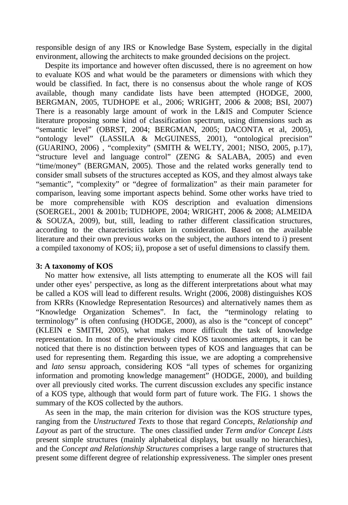responsible design of any IRS or Knowledge Base System, especially in the digital environment, allowing the architects to make grounded decisions on the project.

Despite its importance and however often discussed, there is no agreement on how to evaluate KOS and what would be the parameters or dimensions with which they would be classified. In fact, there is no consensus about the whole range of KOS available, though many candidate lists have been attempted (HODGE, 2000, BERGMAN, 2005, TUDHOPE et al., 2006; WRIGHT, 2006 & 2008; BSI, 2007) There is a reasonably large amount of work in the L&IS and Computer Science literature proposing some kind of classification spectrum, using dimensions such as "semantic level" (OBRST, 2004; BERGMAN, 2005; DACONTA et al, 2005), "ontology level" (LASSILA & McGUINESS, 2001), "ontological precision" (GUARINO, 2006) , "complexity" (SMITH & WELTY, 2001; NISO, 2005, p.17), "structure level and language control" (ZENG & SALABA, 2005) and even "time/money" (BERGMAN, 2005). Those and the related works generally tend to consider small subsets of the structures accepted as KOS, and they almost always take "semantic", "complexity" or "degree of formalization" as their main parameter for comparison, leaving some important aspects behind. Some other works have tried to be more comprehensible with KOS description and evaluation dimensions (SOERGEL, 2001 & 2001b; TUDHOPE, 2004; WRIGHT, 2006 & 2008; ALMEIDA & SOUZA, 2009), but, still, leading to rather different classification structures, according to the characteristics taken in consideration. Based on the available literature and their own previous works on the subject, the authors intend to i) present a compiled taxonomy of KOS; ii), propose a set of useful dimensions to classify them.

## **3: A taxonomy of KOS**

No matter how extensive, all lists attempting to enumerate all the KOS will fail under other eyes' perspective, as long as the different interpretations about what may be called a KOS will lead to different results. Wright (2006, 2008) distinguishes KOS from KRRs (Knowledge Representation Resources) and alternatively names them as "Knowledge Organization Schemes". In fact, the "terminology relating to terminology" is often confusing (HODGE, 2000), as also is the "concept of concept" (KLEIN e SMITH, 2005), what makes more difficult the task of knowledge representation. In most of the previously cited KOS taxonomies attempts, it can be noticed that there is no distinction between types of KOS and languages that can be used for representing them. Regarding this issue, we are adopting a comprehensive and *lato sensu* approach, considering KOS "all types of schemes for organizing information and promoting knowledge management" (HODGE, 2000), and building over all previously cited works. The current discussion excludes any specific instance of a KOS type, although that would form part of future work. The FIG. 1 shows the summary of the KOS collected by the authors.

As seen in the map, the main criterion for division was the KOS structure types, ranging from the *Unstructured Texts* to those that regard *Concepts, Relationship and Layout* as part of the structure. The ones classified under *Term and/or Concept Lists* present simple structures (mainly alphabetical displays, but usually no hierarchies), and the *Concept and Relationship Structures* comprises a large range of structures that present some different degree of relationship expressiveness. The simpler ones present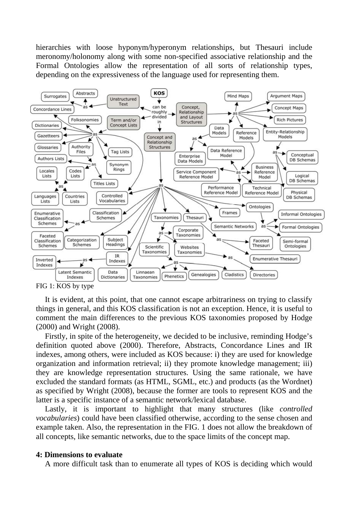hierarchies with loose hyponym/hyperonym relationships, but Thesauri include meronomy/holonomy along with some non-specified associative relationship and the Formal Ontologies allow the representation of all sorts of relationship types, depending on the expressiveness of the language used for representing them.



FIG 1: KOS by type

It is evident, at this point, that one cannot escape arbitrariness on trying to classify things in general, and this KOS classification is not an exception. Hence, it is useful to comment the main differences to the previous KOS taxonomies proposed by Hodge (2000) and Wright (2008).

Firstly, in spite of the heterogeneity, we decided to be inclusive, reminding Hodge's definition quoted above (2000). Therefore, Abstracts, Concordance Lines and IR indexes, among others, were included as KOS because: i) they are used for knowledge organization and information retrieval; ii) they promote knowledge management; iii) they are knowledge representation structures. Using the same rationale, we have excluded the standard formats (as HTML, SGML, etc.) and products (as the Wordnet) as specified by Wright (2008), because the former are tools to represent KOS and the latter is a specific instance of a semantic network/lexical database.

Lastly, it is important to highlight that many structures (like *controlled vocabularies*) could have been classified otherwise, according to the sense chosen and example taken. Also, the representation in the FIG. 1 does not allow the breakdown of all concepts, like semantic networks, due to the space limits of the concept map.

#### **4: Dimensions to evaluate**

A more difficult task than to enumerate all types of KOS is deciding which would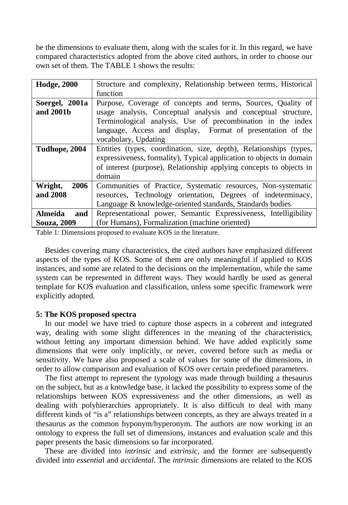be the dimensions to evaluate them, along with the scales for it. In this regard, we have compared characteristics adopted from the above cited authors, in order to choose our own set of them. The TABLE 1 shows the results:

| <b>Hodge, 2000</b> | Structure and complexity, Relationship between terms, Historical     |
|--------------------|----------------------------------------------------------------------|
|                    | function                                                             |
| Soergel, 2001a     | Purpose, Coverage of concepts and terms, Sources, Quality of         |
| and 2001b          | usage analysis, Conceptual analysis and conceptual structure,        |
|                    | Terminological analysis, Use of precombination in the index          |
|                    | language, Access and display, Format of presentation of the          |
|                    | vocabulary, Updating                                                 |
| Tudhope, 2004      | Entities (types, coordination, size, depth), Relationships (types,   |
|                    | expressiveness, formality), Typical application to objects in domain |
|                    | of interest (purpose), Relationship applying concepts to objects in  |
|                    | domain                                                               |
| 2006<br>Wright,    | Communities of Practice, Systematic resources, Non-systematic        |
| and 2008           | resources, Technology orientation, Degrees of indeterminacy,         |
|                    | Language & knowledge-oriented standards, Standards bodies            |
| Almeida<br>and     | Representational power, Semantic Expressiveness, Intelligibility     |
| <b>Souza, 2009</b> | (for Humans), Formalization (machine oriented)                       |

Table 1: Dimensions proposed to evaluate KOS in the literature.

Besides covering many characteristics, the cited authors have emphasized different aspects of the types of KOS. Some of them are only meaningful if applied to KOS instances, and some are related to the decisions on the implementation, while the same system can be represented in different ways. They would hardly be used as general template for KOS evaluation and classification, unless some specific framework were explicitly adopted.

# **5: The KOS proposed spectra**

In our model we have tried to capture those aspects in a coherent and integrated way, dealing with some slight differences in the meaning of the characteristics, without letting any important dimension behind. We have added explicitly some dimensions that were only implicitly, or never, covered before such as media or sensitivity. We have also proposed a scale of values for some of the dimensions, in order to allow comparison and evaluation of KOS over certain predefined parameters.

The first attempt to represent the typology was made through building a thesaurus on the subject, but as a knowledge base, it lacked the possibility to express some of the relationships between KOS expressiveness and the other dimensions, as well as dealing with polyhierarchies appropriately. It is also difficult to deal with many different kinds of "is a" relationships between concepts, as they are always treated in a thesaurus as the common hyponym/hyperonym. The authors are now working in an ontology to express the full set of dimensions, instances and evaluation scale and this paper presents the basic dimensions so far incorporated.

These are divided into *intrinsic* and *extrinsic*, and the former are subsequently divided into *essentia*l and *accidental*. The *intrinsic* dimensions are related to the KOS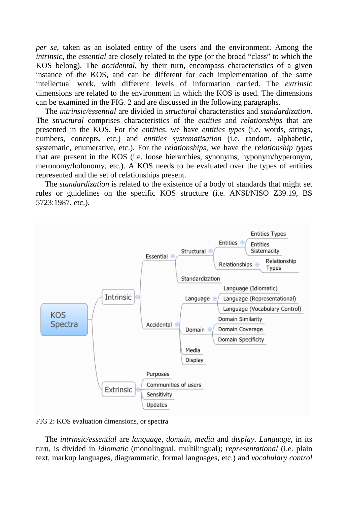*per se*, taken as an isolated entity of the users and the environment. Among the *intrinsic*, the *essential* are closely related to the type (or the broad "class" to which the KOS belong). The *accidental*, by their turn, encompass characteristics of a given instance of the KOS, and can be different for each implementation of the same intellectual work, with different levels of information carried. The *extrinsic* dimensions are related to the environment in which the KOS is used. The dimensions can be examined in the FIG. 2 and are discussed in the following paragraphs.

The *intrinsic/essential* are divided in *structural* characteristics and *standardization*. The *structural* comprises characteristics of the *entities* and *relationships* that are presented in the KOS. For the *entities*, we have *entities types* (i.e. words, strings, numbers, concepts, etc.) and *entities systematisation* (i.e. random, alphabetic, systematic, enumerative, etc.). For the *relationships*, we have the *relationship types* that are present in the KOS (i.e. loose hierarchies, synonyms, hyponym/hyperonym, meronomy/holonomy, etc.). A KOS needs to be evaluated over the types of entities represented and the set of relationships present.

The *standardization* is related to the existence of a body of standards that might set rules or guidelines on the specific KOS structure (i.e. ANSI/NISO Z39.19, BS 5723:1987, etc.).



FIG 2: KOS evaluation dimensions, or spectra

The *intrinsic/essential* are *language*, *domain*, *media* and *display*. *Language*, in its turn, is divided in *idiomatic* (monolingual, multilingual); *representational* (i.e. plain text, markup languages, diagrammatic, formal languages, etc.) and *vocabulary control*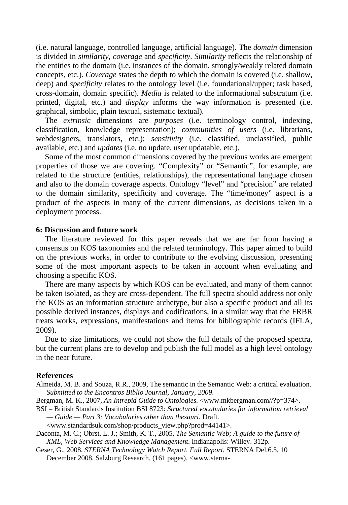(i.e. natural language, controlled language, artificial language). The *domain* dimension is divided in *similarity*, *coverage* and *specificity*. *Similarity* reflects the relationship of the entities to the domain (i.e. instances of the domain, strongly/weakly related domain concepts, etc.). *Coverage* states the depth to which the domain is covered (i.e. shallow, deep) and *specificity* relates to the ontology level (i.e. foundational/upper; task based, cross-domain, domain specific). *Media* is related to the informational substratum (i.e. printed, digital, etc.) and *display* informs the way information is presented (i.e. graphical, simbolic, plain textual, sistematic textual).

The *extrinsic* dimensions are *purposes* (i.e. terminology control, indexing, classification, knowledge representation); *communities of users* (i.e. librarians, webdesigners, translators, etc.); *sensitivity* (i.e. classified, unclassified, public available, etc.) and *updates* (i.e. no update, user updatable, etc.).

Some of the most common dimensions covered by the previous works are emergent properties of those we are covering. "Complexity" or "Semantic", for example, are related to the structure (entities, relationships), the representational language chosen and also to the domain coverage aspects. Ontology "level" and "precision" are related to the domain similarity, specificity and coverage. The "time/money" aspect is a product of the aspects in many of the current dimensions, as decisions taken in a deployment process.

## **6: Discussion and future work**

The literature reviewed for this paper reveals that we are far from having a consensus on KOS taxonomies and the related terminology. This paper aimed to build on the previous works, in order to contribute to the evolving discussion, presenting some of the most important aspects to be taken in account when evaluating and choosing a specific KOS.

There are many aspects by which KOS can be evaluated, and many of them cannot be taken isolated, as they are cross-dependent. The full spectra should address not only the KOS as an information structure archetype, but also a specific product and all its possible derived instances, displays and codifications, in a similar way that the FRBR treats works, expressions, manifestations and items for bibliographic records (IFLA, 2009).

Due to size limitations, we could not show the full details of the proposed spectra, but the current plans are to develop and publish the full model as a high level ontology in the near future.

#### **References**

Almeida, M. B. and Souza, R.R., 2009, The semantic in the Semantic Web: a critical evaluation. *Submitted to the Encontros Biblio Journal, January, 2009*.

Bergman, M. K., 2007, *An Intrepid Guide to Ontologies*. <www.mkbergman.com//?p=374>.

BSI – British Standards Institution BSI 8723: *Structured vocabularies for information retrieval — Guide — Part 3: Vocabularies other than thesauri*. Draft.

<www.standardsuk.com/shop/products\_view.php?prod=44141>.

Daconta, M. C.; Obrst, L. J.; Smith, K. T., 2005, *The Semantic Web; A guide to the future of XML, Web Services and Knowledge Management*. Indianapolis: Willey. 312p.

Geser, G., 2008, *STERNA Technology Watch Report. Full Report*. STERNA Del.6.5, 10 December 2008. Salzburg Research. (161 pages). <www.sterna